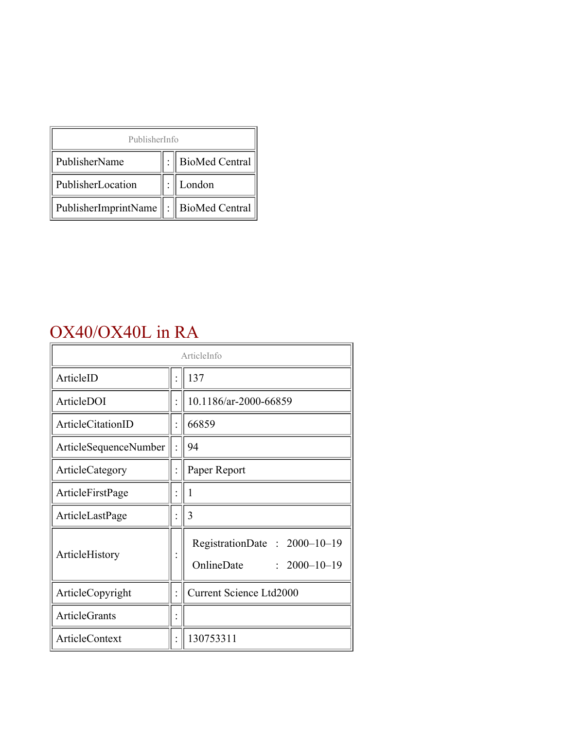| PublisherInfo                              |  |                    |  |  |
|--------------------------------------------|--|--------------------|--|--|
| PublisherName                              |  | :   BioMed Central |  |  |
| PublisherLocation                          |  | London             |  |  |
| PublisherImprintName   :    BioMed Central |  |                    |  |  |

### OX40/OX40L in RA

| ArticleInfo           |                |                                                                  |
|-----------------------|----------------|------------------------------------------------------------------|
| ArticleID             |                | 137                                                              |
| ArticleDOI            |                | 10.1186/ar-2000-66859                                            |
| ArticleCitationID     |                | 66859                                                            |
| ArticleSequenceNumber |                | 94                                                               |
| ArticleCategory       |                | Paper Report                                                     |
| ArticleFirstPage      |                | 1                                                                |
| ArticleLastPage       |                | 3                                                                |
| ArticleHistory        |                | RegistrationDate: 2000-10-19<br>OnlineDate<br>$: 2000 - 10 - 19$ |
| ArticleCopyright      |                | <b>Current Science Ltd2000</b>                                   |
| <b>ArticleGrants</b>  |                |                                                                  |
| <b>ArticleContext</b> | $\ddot{\cdot}$ | 130753311                                                        |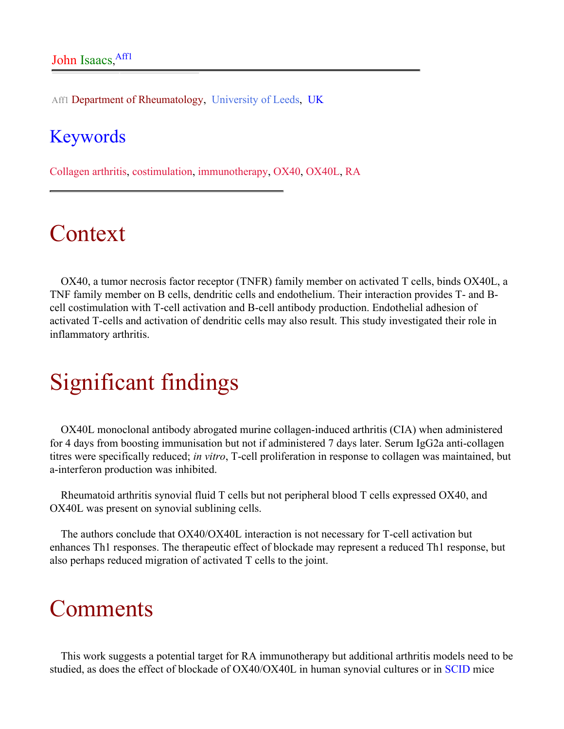Aff1 Department of Rheumatology, University of Leeds, UK

#### Keywords

Collagen arthritis, costimulation, immunotherapy, OX40, OX40L, RA

## Context

OX40, a tumor necrosis factor receptor (TNFR) family member on activated T cells, binds OX40L, a TNF family member on B cells, dendritic cells and endothelium. Their interaction provides T- and Bcell costimulation with T-cell activation and B-cell antibody production. Endothelial adhesion of activated T-cells and activation of dendritic cells may also result. This study investigated their role in inflammatory arthritis.

# Significant findings

OX40L monoclonal antibody abrogated murine collagen-induced arthritis (CIA) when administered for 4 days from boosting immunisation but not if administered 7 days later. Serum IgG2a anti-collagen titres were specifically reduced; *in vitro*, T-cell proliferation in response to collagen was maintained, but a-interferon production was inhibited.

Rheumatoid arthritis synovial fluid T cells but not peripheral blood T cells expressed OX40, and OX40L was present on synovial sublining cells.

The authors conclude that OX40/OX40L interaction is not necessary for T-cell activation but enhances Th1 responses. The therapeutic effect of blockade may represent a reduced Th1 response, but also perhaps reduced migration of activated T cells to the joint.

### **Comments**

This work suggests a potential target for RA immunotherapy but additional arthritis models need to be studied, as does the effect of blockade of OX40/OX40L in human synovial cultures or in [SCID](http://arthritis-research.com/glossary_page.cfm#S) mice